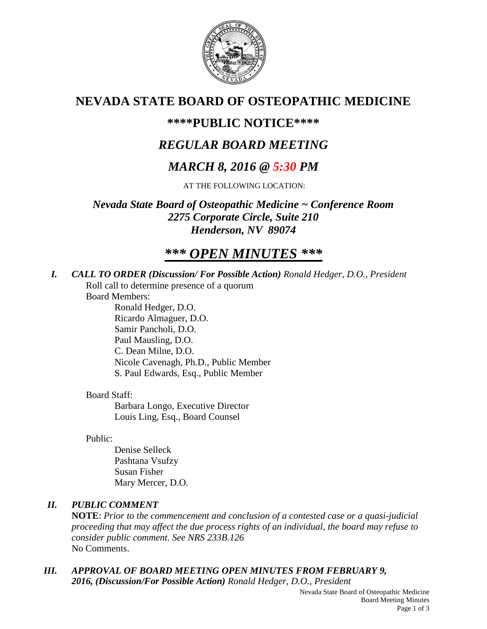

## **NEVADA STATE BOARD OF OSTEOPATHIC MEDICINE**

### **\*\*\*\*PUBLIC NOTICE\*\*\*\***

### *REGULAR BOARD MEETING*

### *MARCH 8, 2016 @ 5:30 PM*

AT THE FOLLOWING LOCATION:

*Nevada State Board of Osteopathic Medicine ~ Conference Room 2275 Corporate Circle, Suite 210 Henderson, NV 89074*

# *\*\*\* OPEN MINUTES \*\*\**

*I. CALL TO ORDER (Discussion/ For Possible Action) Ronald Hedger, D.O., President* Roll call to determine presence of a quorum

Board Members:

Ronald Hedger, D.O. Ricardo Almaguer, D.O. Samir Pancholi, D.O. Paul Mausling, D.O. C. Dean Milne, D.O. Nicole Cavenagh, Ph.D., Public Member S. Paul Edwards, Esq., Public Member

#### Board Staff:

Barbara Longo, Executive Director Louis Ling, Esq., Board Counsel

#### Public:

Denise Selleck Pashtana Vsufzy Susan Fisher Mary Mercer, D.O.

#### *II. PUBLIC COMMENT*

**NOTE**: *Prior to the commencement and conclusion of a contested case or a quasi-judicial proceeding that may affect the due process rights of an individual, the board may refuse to consider public comment. See NRS 233B.126* No Comments.

*III. APPROVAL OF BOARD MEETING OPEN MINUTES FROM FEBRUARY 9, 2016, (Discussion/For Possible Action) Ronald Hedger, D.O., President*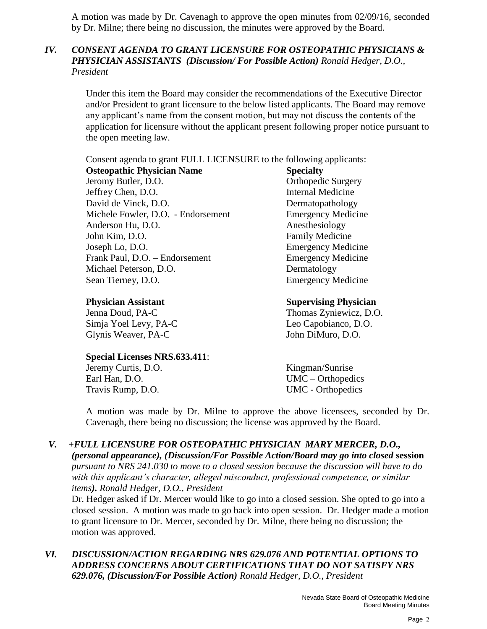A motion was made by Dr. Cavenagh to approve the open minutes from 02/09/16, seconded by Dr. Milne; there being no discussion, the minutes were approved by the Board.

#### *IV. CONSENT AGENDA TO GRANT LICENSURE FOR OSTEOPATHIC PHYSICIANS & PHYSICIAN ASSISTANTS (Discussion/ For Possible Action) Ronald Hedger, D.O., President*

Under this item the Board may consider the recommendations of the Executive Director and/or President to grant licensure to the below listed applicants. The Board may remove any applicant's name from the consent motion, but may not discuss the contents of the application for licensure without the applicant present following proper notice pursuant to the open meeting law.

Consent agenda to grant FULL LICENSURE to the following applicants:

**Osteopathic Physician Name Specialty** Jeromy Butler, D.O. **Orthopedic Surgery** Jeffrey Chen, D.O. Internal Medicine David de Vinck, D.O. Dermatopathology Michele Fowler, D.O. - Endorsement Emergency Medicine Anderson Hu, D.O. Anesthesiology John Kim, D.O. **Family Medicine** Joseph Lo, D.O. Emergency Medicine Frank Paul, D.O. – Endorsement Emergency Medicine Michael Peterson, D.O. Dermatology Sean Tierney, D.O. Emergency Medicine

Simja Yoel Levy, PA-C Leo Capobianco, D.O. Glynis Weaver, PA-C John DiMuro, D.O.

**Special Licenses NRS.633.411**:

Jeremy Curtis, D.O. Kingman/Sunrise Earl Han, D.O. UMC – Orthopedics Travis Rump, D.O. UMC - Orthopedics

**Physician Assistant Supervising Physician**

Jenna Doud, PA-C Thomas Zyniewicz, D.O.

A motion was made by Dr. Milne to approve the above licensees, seconded by Dr. Cavenagh, there being no discussion; the license was approved by the Board.

#### *V. +FULL LICENSURE FOR OSTEOPATHIC PHYSICIAN MARY MERCER, D.O.,*

*(personal appearance), (Discussion/For Possible Action/Board may go into closed* **session** *pursuant to NRS 241.030 to move to a closed session because the discussion will have to do with this applicant's character, alleged misconduct, professional competence, or similar items). Ronald Hedger, D.O., President*

Dr. Hedger asked if Dr. Mercer would like to go into a closed session. She opted to go into a closed session. A motion was made to go back into open session. Dr. Hedger made a motion to grant licensure to Dr. Mercer, seconded by Dr. Milne, there being no discussion; the motion was approved.

*VI. DISCUSSION/ACTION REGARDING NRS 629.076 AND POTENTIAL OPTIONS TO ADDRESS CONCERNS ABOUT CERTIFICATIONS THAT DO NOT SATISFY NRS 629.076, (Discussion/For Possible Action) Ronald Hedger, D.O., President*